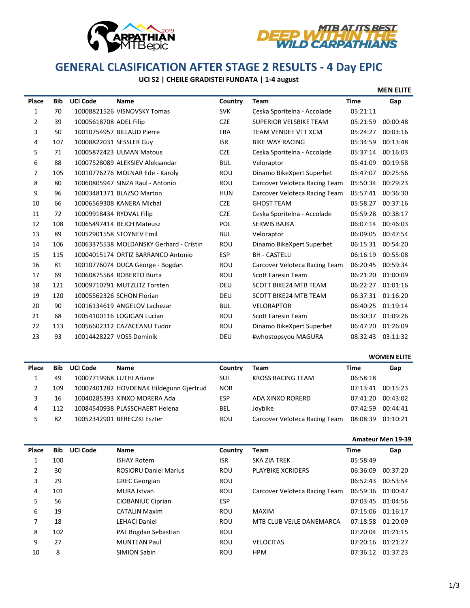



# **GENERAL CLASIFICATION AFTER STAGE 2 RESULTS - 4 Day EPIC**

## **UCI S2 | CHEILE GRADISTEI FUNDATA | 1-4 august**

|                |            |                          |                                         |            |                               |             | <b>MEN ELITE</b> |
|----------------|------------|--------------------------|-----------------------------------------|------------|-------------------------------|-------------|------------------|
| Place          | <b>Bib</b> | <b>UCI Code</b>          | Name                                    | Country    | Team                          | <b>Time</b> | Gap              |
| 1              | 70         |                          | 10008821526 VISNOVSKY Tomas             | <b>SVK</b> | Ceska Sporitelna - Accolade   | 05:21:11    |                  |
| $\overline{2}$ | 39         | 10005618708 ADEL Filip   |                                         | <b>CZE</b> | <b>SUPERIOR VELSBIKE TEAM</b> | 05:21:59    | 00:00:48         |
| 3              | 50         |                          | 10010754957 BILLAUD Pierre              | <b>FRA</b> | TEAM VENDEE VTT XCM           | 05:24:27    | 00:03:16         |
| 4              | 107        | 10008822031 SESSLER Guy  |                                         | <b>ISR</b> | <b>BIKE WAY RACING</b>        | 05:34:59    | 00:13:48         |
| 5              | 71         |                          | 10005872423 ULMAN Matous                | <b>CZE</b> | Ceska Sporitelna - Accolade   | 05:37:14    | 00:16:03         |
| 6              | 88         |                          | 10007528089 ALEKSIEV Aleksandar         | <b>BUL</b> | Veloraptor                    | 05:41:09    | 00:19:58         |
| 7              | 105        |                          | 10010776276 MOLNAR Ede - Karoly         | <b>ROU</b> | Dinamo BikeXpert Superbet     | 05:47:07    | 00:25:56         |
| 8              | 80         |                          | 10060805947 SINZA Raul - Antonio        | ROU        | Carcover Veloteca Racing Team | 05:50:34    | 00:29:23         |
| 9              | 96         |                          | 10003481371 BLAZSO Marton               | <b>HUN</b> | Carcover Veloteca Racing Team | 05:57:41    | 00:36:30         |
| 10             | 66         |                          | 10006569308 KANERA Michal               | <b>CZE</b> | <b>GHOST TEAM</b>             | 05:58:27    | 00:37:16         |
| 11             | 72         | 10009918434 RYDVAL Filip |                                         | <b>CZE</b> | Ceska Sporitelna - Accolade   | 05:59:28    | 00:38:17         |
| 12             | 108        |                          | 10065497414 REJCH Mateusz               | POL        | <b>SERWIS BAJKA</b>           | 06:07:14    | 00:46:03         |
| 13             | 89         |                          | 10052901558 STOYNEV Emil                | <b>BUL</b> | Veloraptor                    | 06:09:05    | 00:47:54         |
| 14             | 106        |                          | 10063375538 MOLDANSKY Gerhard - Cristin | <b>ROU</b> | Dinamo BikeXpert Superbet     | 06:15:31    | 00:54:20         |
| 15             | 115        |                          | 10004015174 ORTIZ BARRANCO Antonio      | <b>ESP</b> | <b>BH - CASTELLI</b>          | 06:16:19    | 00:55:08         |
| 16             | 81         |                          | 10010776074 DUCA George - Bogdan        | ROU        | Carcover Veloteca Racing Team | 06:20:45    | 00:59:34         |
| 17             | 69         |                          | 10060875564 ROBERTO Burta               | <b>ROU</b> | <b>Scott Faresin Team</b>     | 06:21:20    | 01:00:09         |
| 18             | 121        |                          | 10009710791 MUTZLITZ Torsten            | <b>DEU</b> | <b>SCOTT BIKE24 MTB TEAM</b>  | 06:22:27    | 01:01:16         |
| 19             | 120        |                          | 10005562326 SCHON Florian               | DEU        | <b>SCOTT BIKE24 MTB TEAM</b>  | 06:37:31    | 01:16:20         |
| 20             | 90         |                          | 10016134619 ANGELOV Lachezar            | <b>BUL</b> | <b>VELORAPTOR</b>             | 06:40:25    | 01:19:14         |
| 21             | 68         |                          | 10054100116 LOGIGAN Lucian              | <b>ROU</b> | <b>Scott Faresin Team</b>     | 06:30:37    | 01:09:26         |
| 22             | 113        |                          | 10056602312 CAZACEANU Tudor             | ROU        | Dinamo BikeXpert Superbet     | 06:47:20    | 01:26:09         |
| 23             | 93         |                          | 10014428227 VOSS Dominik                | DEU        | #whostopsyou MAGURA           | 08:32:43    | 03:11:32         |

# **Place Bib UCI Code Name Country Team Time Gap** 1 49 10007719968 LUTHI Ariane SUI KROSS RACING TEAM 06:58:18 109 10007401282 HOVDENAK Hildegunn Gjertrud NOR 07:13:41 00:15:23 16 10040285393 XINXO MORERA Ada ESP ADA XINXO RORERD 07:41:20 00:43:02 112 10084540938 PLASSCHAERT Helena BEL Joybike 07:42:59 00:44:41 82 10052342901 BERECZKI Eszter ROU Carcover Veloteca Racing Team 08:08:39 01:10:21 **WOMEN ELITE**

#### **Amateur Men 19-39**

| Place          | <b>Bib</b> | <b>UCI Code</b> | Name                         | Country    | <b>Team</b>                   | Time     | Gap      |
|----------------|------------|-----------------|------------------------------|------------|-------------------------------|----------|----------|
|                | 100        |                 | <b>ISHAY Rotem</b>           | <b>ISR</b> | <b>SKA ZIA TREK</b>           | 05:58:49 |          |
| $\overline{2}$ | 30         |                 | <b>ROSIORU Daniel Marius</b> | ROU        | <b>PLAYBIKE XCRIDERS</b>      | 06:36:09 | 00:37:20 |
| 3              | 29         |                 | <b>GREC Georgian</b>         | <b>ROU</b> |                               | 06:52:43 | 00:53:54 |
| 4              | 101        |                 | <b>MURA</b> Istvan           | <b>ROU</b> | Carcover Veloteca Racing Team | 06:59:36 | 01:00:47 |
| 5              | 56         |                 | CIOBANIUC Ciprian            | <b>ESP</b> |                               | 07:03:45 | 01:04:56 |
| 6              | 19         |                 | <b>CATALIN Maxim</b>         | <b>ROU</b> | <b>MAXIM</b>                  | 07:15:06 | 01:16:17 |
| 7              | 18         |                 | <b>LEHACI Daniel</b>         | <b>ROU</b> | MTB CLUB VEJLE DANEMARCA      | 07:18:58 | 01:20:09 |
| 8              | 102        |                 | PAL Bogdan Sebastian         | <b>ROU</b> |                               | 07:20:04 | 01:21:15 |
| 9              | 27         |                 | <b>MUNTEAN Paul</b>          | <b>ROU</b> | <b>VELOCITAS</b>              | 07:20:16 | 01:21:27 |
| 10             | 8          |                 | SIMION Sabin                 | ROU        | <b>HPM</b>                    | 07:36:12 | 01:37:23 |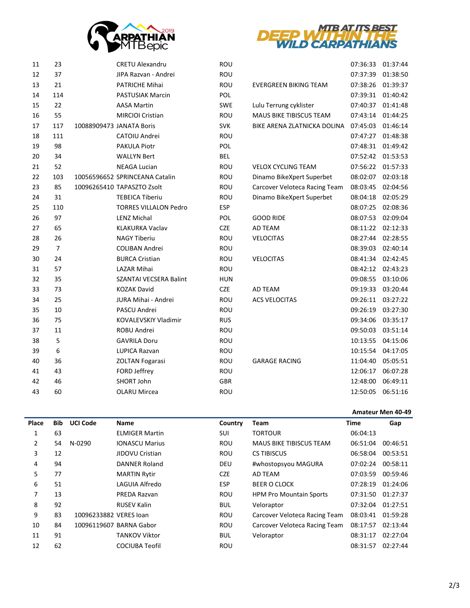



| 11 | 23             | <b>CRETU Alexandru</b>         | ROU        |                                | 07:36:33 | 01:37:44 |
|----|----------------|--------------------------------|------------|--------------------------------|----------|----------|
| 12 | 37             | JIPA Razvan - Andrei           | ROU        |                                | 07:37:39 | 01:38:50 |
| 13 | 21             | <b>PATRICHE Mihai</b>          | <b>ROU</b> | <b>EVERGREEN BIKING TEAM</b>   | 07:38:26 | 01:39:37 |
| 14 | 114            | <b>PASTUSIAK Marcin</b>        | POL        |                                | 07:39:31 | 01:40:42 |
| 15 | 22             | <b>AASA Martin</b>             | <b>SWE</b> | Lulu Terrung cyklister         | 07:40:37 | 01:41:48 |
| 16 | 55             | <b>MIRCIOI Cristian</b>        | <b>ROU</b> | <b>MAUS BIKE TIBISCUS TEAM</b> | 07:43:14 | 01:44:25 |
| 17 | 117            | 10088909473 JANATA Boris       | <b>SVK</b> | BIKE ARENA ZLATNICKA DOLINA    | 07:45:03 | 01:46:14 |
| 18 | 111            | CATOIU Andrei                  | ROU        |                                | 07:47:27 | 01:48:38 |
| 19 | 98             | <b>PAKULA Piotr</b>            | POL        |                                | 07:48:31 | 01:49:42 |
| 20 | 34             | <b>WALLYN Bert</b>             | <b>BEL</b> |                                | 07:52:42 | 01:53:53 |
| 21 | 52             | <b>NEAGA Lucian</b>            | ROU        | <b>VELOX CYCLING TEAM</b>      | 07:56:22 | 01:57:33 |
| 22 | 103            | 10056596652 SPRINCEANA Catalin | ROU        | Dinamo BikeXpert Superbet      | 08:02:07 | 02:03:18 |
| 23 | 85             | 10096265410 TAPASZTO Zsolt     | ROU        | Carcover Veloteca Racing Team  | 08:03:45 | 02:04:56 |
| 24 | 31             | <b>TEBEICA Tiberiu</b>         | ROU        | Dinamo BikeXpert Superbet      | 08:04:18 | 02:05:29 |
| 25 | 110            | <b>TORRES VILLALON Pedro</b>   | <b>ESP</b> |                                | 08:07:25 | 02:08:36 |
| 26 | 97             | <b>LENZ Michal</b>             | POL        | <b>GOOD RIDE</b>               | 08:07:53 | 02:09:04 |
| 27 | 65             | <b>KLAKURKA Vaclav</b>         | <b>CZE</b> | AD TEAM                        | 08:11:22 | 02:12:33 |
| 28 | 26             | <b>NAGY Tiberiu</b>            | <b>ROU</b> | <b>VELOCITAS</b>               | 08:27:44 | 02:28:55 |
| 29 | $\overline{7}$ | <b>COLIBAN Andrei</b>          | ROU        |                                | 08:39:03 | 02:40:14 |
| 30 | 24             | <b>BURCA Cristian</b>          | ROU        | <b>VELOCITAS</b>               | 08:41:34 | 02:42:45 |
| 31 | 57             | <b>LAZAR Mihai</b>             | ROU        |                                | 08:42:12 | 02:43:23 |
| 32 | 35             | SZANTAI VECSERA Balint         | <b>HUN</b> |                                | 09:08:55 | 03:10:06 |
| 33 | 73             | <b>KOZAK David</b>             | <b>CZE</b> | AD TEAM                        | 09:19:33 | 03:20:44 |
| 34 | 25             | JURA Mihai - Andrei            | ROU        | <b>ACS VELOCITAS</b>           | 09:26:11 | 03:27:22 |
| 35 | 10             | PASCU Andrei                   | ROU        |                                | 09:26:19 | 03:27:30 |
| 36 | 75             | <b>KOVALEVSKIY Vladimir</b>    | <b>RUS</b> |                                | 09:34:06 | 03:35:17 |
| 37 | 11             | ROBU Andrei                    | ROU        |                                | 09:50:03 | 03:51:14 |
| 38 | 5              | <b>GAVRILA Doru</b>            | ROU        |                                | 10:13:55 | 04:15:06 |
| 39 | 6              | LUPICA Razvan                  | ROU        |                                | 10:15:54 | 04:17:05 |
| 40 | 36             | <b>ZOLTAN Fogarasi</b>         | ROU        | <b>GARAGE RACING</b>           | 11:04:40 | 05:05:51 |
| 41 | 43             | FORD Jeffrey                   | ROU        |                                | 12:06:17 | 06:07:28 |
| 42 | 46             | SHORT John                     | GBR        |                                | 12:48:00 | 06:49:11 |
| 43 | 60             | <b>OLARU Mircea</b>            | ROU        |                                | 12:50:05 | 06:51:16 |

### **Amateur Men 40-49**

| Place | <b>Bib</b> | <b>UCI Code</b>        | <b>Name</b>             | Country    | Team                           | Time     | Gap      |
|-------|------------|------------------------|-------------------------|------------|--------------------------------|----------|----------|
|       | 63         |                        | <b>ELMIGER Martin</b>   | SUI        | <b>TORTOUR</b>                 | 06:04:13 |          |
| 2     | 54         | N-0290                 | <b>IONASCU Marius</b>   | <b>ROU</b> | <b>MAUS BIKE TIBISCUS TEAM</b> | 06:51:04 | 00:46:51 |
| 3     | 12         |                        | JIDOVU Cristian         | <b>ROU</b> | <b>CS TIBISCUS</b>             | 06:58:04 | 00:53:51 |
| 4     | 94         |                        | <b>DANNER Roland</b>    | <b>DEU</b> | #whostopsyou MAGURA            | 07:02:24 | 00:58:11 |
| 5     | 77         |                        | <b>MARTIN Rytir</b>     | <b>CZE</b> | AD TEAM                        | 07:03:59 | 00:59:46 |
| 6     | 51         |                        | LAGUIA Alfredo          | <b>ESP</b> | <b>BEER O CLOCK</b>            | 07:28:19 | 01:24:06 |
| 7     | 13         |                        | PREDA Razvan            | <b>ROU</b> | <b>HPM Pro Mountain Sports</b> | 07:31:50 | 01:27:37 |
| 8     | 92         |                        | <b>RUSEV Kalin</b>      | <b>BUL</b> | Veloraptor                     | 07:32:04 | 01:27:51 |
| 9     | 83         | 10096233882 VERES Joan |                         | <b>ROU</b> | Carcover Veloteca Racing Team  | 08:03:41 | 01:59:28 |
| 10    | 84         |                        | 10096119607 BARNA Gabor | <b>ROU</b> | Carcover Veloteca Racing Team  | 08:17:57 | 02:13:44 |
| 11    | 91         |                        | <b>TANKOV Viktor</b>    | <b>BUL</b> | Veloraptor                     | 08:31:17 | 02:27:04 |
| 12    | 62         |                        | <b>COCIUBA Teofil</b>   | <b>ROU</b> |                                | 08:31:57 | 02:27:44 |